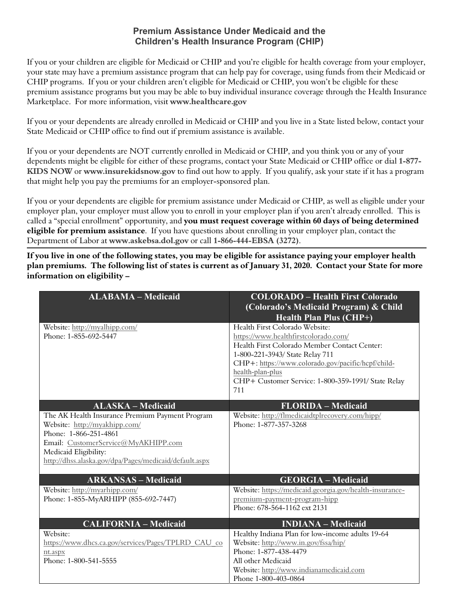## **Premium Assistance Under Medicaid and the Children's Health Insurance Program (CHIP)**

If you or your children are eligible for Medicaid or CHIP and you're eligible for health coverage from your employer, your state may have a premium assistance program that can help pay for coverage, using funds from their Medicaid or CHIP programs. If you or your children aren't eligible for Medicaid or CHIP, you won't be eligible for these premium assistance programs but you may be able to buy individual insurance coverage through the Health Insurance Marketplace. For more information, visit **www.healthcare.gov**

If you or your dependents are already enrolled in Medicaid or CHIP and you live in a State listed below, contact your State Medicaid or CHIP office to find out if premium assistance is available.

If you or your dependents are NOT currently enrolled in Medicaid or CHIP, and you think you or any of your dependents might be eligible for either of these programs, contact your State Medicaid or CHIP office or dial **1-877- KIDS NOW** or **www.insurekidsnow.gov** to find out how to apply. If you qualify, ask your state if it has a program that might help you pay the premiums for an employer-sponsored plan.

If you or your dependents are eligible for premium assistance under Medicaid or CHIP, as well as eligible under your employer plan, your employer must allow you to enroll in your employer plan if you aren't already enrolled. This is called a "special enrollment" opportunity, and **you must request coverage within 60 days of being determined eligible for premium assistance**. If you have questions about enrolling in your employer plan, contact the Department of Labor at **www.askebsa.dol.gov** or call **1-866-444-EBSA (3272)**.

**If you live in one of the following states, you may be eligible for assistance paying your employer health plan premiums. The following list of states is current as of January 31, 2020. Contact your State for more information on eligibility –** 

| <b>ALABAMA - Medicaid</b>                                    | <b>COLORADO - Health First Colorado</b><br>(Colorado's Medicaid Program) & Child<br><b>Health Plan Plus (CHP+)</b> |
|--------------------------------------------------------------|--------------------------------------------------------------------------------------------------------------------|
| Website: http://myalhipp.com/                                | Health First Colorado Website:                                                                                     |
| Phone: 1-855-692-5447                                        | https://www.healthfirstcolorado.com/<br>Health First Colorado Member Contact Center:                               |
|                                                              | 1-800-221-3943/ State Relay 711                                                                                    |
|                                                              | CHP+: https://www.colorado.gov/pacific/hcpf/child-                                                                 |
|                                                              | health-plan-plus                                                                                                   |
|                                                              | CHP+ Customer Service: 1-800-359-1991/ State Relay                                                                 |
|                                                              | 711                                                                                                                |
| <b>ALASKA - Medicaid</b>                                     | <b>FLORIDA - Medicaid</b>                                                                                          |
| The AK Health Insurance Premium Payment Program              | Website: http://flmedicaidtplrecovery.com/hipp/                                                                    |
| Website: http://myakhipp.com/                                | Phone: 1-877-357-3268                                                                                              |
| Phone: 1-866-251-4861                                        |                                                                                                                    |
| Email: CustomerService@MyAKHIPP.com<br>Medicaid Eligibility: |                                                                                                                    |
| http://dhss.alaska.gov/dpa/Pages/medicaid/default.aspx       |                                                                                                                    |
|                                                              |                                                                                                                    |
| <b>ARKANSAS - Medicaid</b>                                   | <b>GEORGIA - Medicaid</b>                                                                                          |
| Website: http://myarhipp.com/                                | Website: https://medicaid.georgia.gov/health-insurance-                                                            |
| Phone: 1-855-MyARHIPP (855-692-7447)                         | premium-payment-program-hipp                                                                                       |
|                                                              | Phone: 678-564-1162 ext 2131                                                                                       |
| <b>CALIFORNIA - Medicaid</b>                                 | <b>INDIANA - Medicaid</b>                                                                                          |
| Website:                                                     | Healthy Indiana Plan for low-income adults 19-64                                                                   |
| https://www.dhcs.ca.gov/services/Pages/TPLRD CAU co          | Website: http://www.in.gov/fssa/hip/                                                                               |
| nt.aspx                                                      | Phone: 1-877-438-4479                                                                                              |
| Phone: 1-800-541-5555                                        | All other Medicaid                                                                                                 |
|                                                              | Website: http://www.indianamedicaid.com<br>Phone 1-800-403-0864                                                    |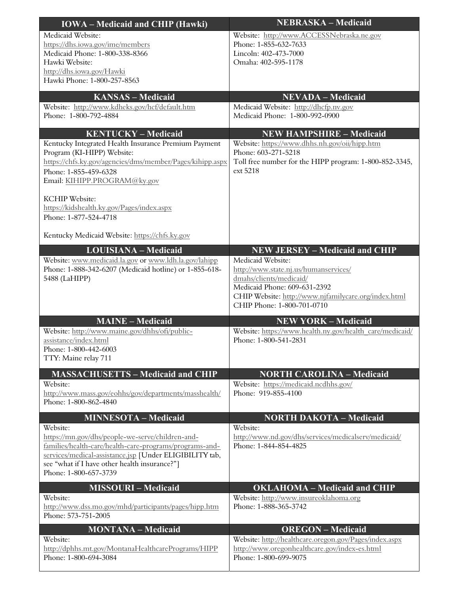| <b>IOWA</b> – Medicaid and CHIP (Hawki)                                                                                                                                                                                                                      | <b>NEBRASKA – Medicaid</b>                                                                                                                                                                                                                           |
|--------------------------------------------------------------------------------------------------------------------------------------------------------------------------------------------------------------------------------------------------------------|------------------------------------------------------------------------------------------------------------------------------------------------------------------------------------------------------------------------------------------------------|
| Medicaid Website:<br>https://dhs.iowa.gov/ime/members<br>Medicaid Phone: 1-800-338-8366<br>Hawki Website:                                                                                                                                                    | Website: http://www.ACCESSNebraska.ne.gov<br>Phone: 1-855-632-7633<br>Lincoln: 402-473-7000<br>Omaha: 402-595-1178                                                                                                                                   |
| http://dhs.iowa.gov/Hawki<br>Hawki Phone: 1-800-257-8563                                                                                                                                                                                                     |                                                                                                                                                                                                                                                      |
| <b>KANSAS - Medicaid</b>                                                                                                                                                                                                                                     | <b>NEVADA - Medicaid</b>                                                                                                                                                                                                                             |
| Website: http://www.kdheks.gov/hcf/default.htm<br>Phone: 1-800-792-4884                                                                                                                                                                                      | Medicaid Website: http://dhcfp.nv.gov<br>Medicaid Phone: 1-800-992-0900                                                                                                                                                                              |
| <b>KENTUCKY - Medicaid</b>                                                                                                                                                                                                                                   | <b>NEW HAMPSHIRE - Medicaid</b>                                                                                                                                                                                                                      |
| Kentucky Integrated Health Insurance Premium Payment<br>Program (KI-HIPP) Website:<br>https://chfs.ky.gov/agencies/dms/member/Pages/kihipp.aspx<br>Phone: 1-855-459-6328<br>Email: KIHIPP.PROGRAM@ky.gov                                                     | Website: https://www.dhhs.nh.gov/oii/hipp.htm<br>Phone: 603-271-5218<br>Toll free number for the HIPP program: 1-800-852-3345,<br>ext 5218                                                                                                           |
| <b>KCHIP</b> Website:<br>https://kidshealth.ky.gov/Pages/index.aspx<br>Phone: 1-877-524-4718                                                                                                                                                                 |                                                                                                                                                                                                                                                      |
| Kentucky Medicaid Website: https://chfs.ky.gov                                                                                                                                                                                                               |                                                                                                                                                                                                                                                      |
| <b>LOUISIANA - Medicaid</b><br>Website: www.medicaid.la.gov or www.ldh.la.gov/lahipp<br>Phone: 1-888-342-6207 (Medicaid hotline) or 1-855-618-<br>5488 (LaHIPP)                                                                                              | <b>NEW JERSEY – Medicaid and CHIP</b><br>Medicaid Website:<br>http://www.state.nj.us/humanservices/<br>dmahs/clients/medicaid/<br>Medicaid Phone: 609-631-2392<br>CHIP Website: http://www.njfamilycare.org/index.html<br>CHIP Phone: 1-800-701-0710 |
| <b>MAINE - Medicaid</b><br>Website: http://www.maine.gov/dhhs/ofi/public-<br>assistance/index.html<br>Phone: 1-800-442-6003<br>TTY: Maine relay 711                                                                                                          | <b>NEW YORK - Medicaid</b><br>Website: https://www.health.ny.gov/health_care/medicaid/<br>Phone: 1-800-541-2831                                                                                                                                      |
| <b>MASSACHUSETTS - Medicaid and CHIP</b>                                                                                                                                                                                                                     | <b>NORTH CAROLINA - Medicaid</b>                                                                                                                                                                                                                     |
| Website:<br>http://www.mass.gov/eohhs/gov/departments/masshealth/<br>Phone: 1-800-862-4840                                                                                                                                                                   | Website: https://medicaid.ncdhhs.gov/<br>Phone: 919-855-4100                                                                                                                                                                                         |
| <b>MINNESOTA - Medicaid</b>                                                                                                                                                                                                                                  | <b>NORTH DAKOTA - Medicaid</b>                                                                                                                                                                                                                       |
| Website:<br>https://mn.gov/dhs/people-we-serve/children-and-<br>families/health-care/health-care-programs/programs-and-<br>services/medical-assistance.jsp [Under ELIGIBILITY tab,<br>see "what if I have other health insurance?"]<br>Phone: 1-800-657-3739 | Website:<br>http://www.nd.gov/dhs/services/medicalserv/medicaid/<br>Phone: 1-844-854-4825                                                                                                                                                            |
| <b>MISSOURI-Medicaid</b>                                                                                                                                                                                                                                     | <b>OKLAHOMA - Medicaid and CHIP</b>                                                                                                                                                                                                                  |
| Website:<br>http://www.dss.mo.gov/mhd/participants/pages/hipp.htm<br>Phone: 573-751-2005                                                                                                                                                                     | Website: http://www.insureoklahoma.org<br>Phone: 1-888-365-3742                                                                                                                                                                                      |
| <b>MONTANA - Medicaid</b><br>Website:<br>http://dphhs.mt.gov/MontanaHealthcarePrograms/HIPP<br>Phone: 1-800-694-3084                                                                                                                                         | <b>OREGON</b> - Medicaid<br>Website: http://healthcare.oregon.gov/Pages/index.aspx<br>http://www.oregonhealthcare.gov/index-es.html<br>Phone: 1-800-699-9075                                                                                         |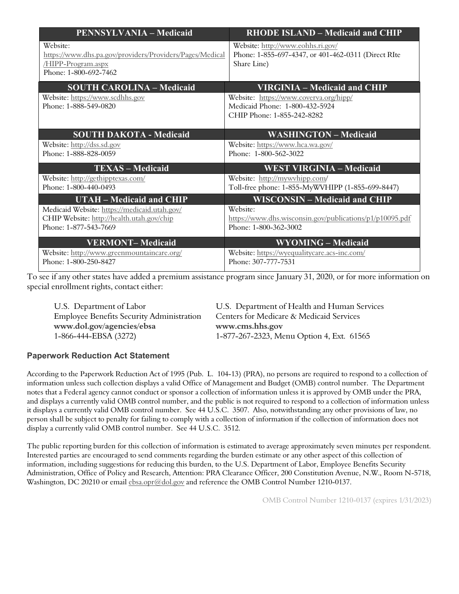| <b>PENNSYLVANIA – Medicaid</b>                                                                                      | <b>RHODE ISLAND – Medicaid and CHIP</b>                                                                 |
|---------------------------------------------------------------------------------------------------------------------|---------------------------------------------------------------------------------------------------------|
| Website:<br>https://www.dhs.pa.gov/providers/Providers/Pages/Medical<br>/HIPP-Program.aspx<br>Phone: 1-800-692-7462 | Website: http://www.eohhs.ri.gov/<br>Phone: 1-855-697-4347, or 401-462-0311 (Direct RIte<br>Share Line) |
| <b>SOUTH CAROLINA - Medicaid</b>                                                                                    | <b>VIRGINIA - Medicaid and CHIP</b>                                                                     |
| Website: https://www.scdhhs.gov<br>Phone: 1-888-549-0820                                                            | Website: https://www.coverva.org/hipp/<br>Medicaid Phone: 1-800-432-5924<br>CHIP Phone: 1-855-242-8282  |
| <b>SOUTH DAKOTA - Medicaid</b>                                                                                      | <b>WASHINGTON - Medicaid</b>                                                                            |
| Website: http://dss.sd.gov<br>Phone: 1-888-828-0059                                                                 | Website: https://www.hca.wa.gov/<br>Phone: 1-800-562-3022                                               |
| <b>TEXAS - Medicaid</b>                                                                                             | <b>WEST VIRGINIA - Medicaid</b>                                                                         |
| Website: http://gethipptexas.com/<br>Phone: 1-800-440-0493                                                          | Website: http://mywyhipp.com/<br>Toll-free phone: 1-855-MyWVHIPP (1-855-699-8447)                       |
| <b>UTAH – Medicaid and CHIP</b>                                                                                     | <b>WISCONSIN – Medicaid and CHIP</b>                                                                    |
| Medicaid Website: https://medicaid.utah.gov/<br>CHIP Website: http://health.utah.gov/chip<br>Phone: 1-877-543-7669  | Website:<br>https://www.dhs.wisconsin.gov/publications/p1/p10095.pdf<br>Phone: 1-800-362-3002           |
| <b>VERMONT-Medicaid</b><br>Website: http://www.greenmountaincare.org/<br>Phone: 1-800-250-8427                      | <b>WYOMING - Medicaid</b><br>Website: https://wyequalitycare.acs-inc.com/<br>Phone: 307-777-7531        |

To see if any other states have added a premium assistance program since January 31, 2020, or for more information on special enrollment rights, contact either:

| U.S. Department of Labor                         | U.S. Department of Health and Human Services |
|--------------------------------------------------|----------------------------------------------|
| <b>Employee Benefits Security Administration</b> | Centers for Medicare & Medicaid Services     |
| www.dol.gov/agencies/ebsa                        | www.cms.hhs.gov                              |
| 1-866-444-EBSA (3272)                            | 1-877-267-2323, Menu Option 4, Ext. 61565    |

## **Paperwork Reduction Act Statement**

According to the Paperwork Reduction Act of 1995 (Pub. L. 104-13) (PRA), no persons are required to respond to a collection of information unless such collection displays a valid Office of Management and Budget (OMB) control number. The Department notes that a Federal agency cannot conduct or sponsor a collection of information unless it is approved by OMB under the PRA, and displays a currently valid OMB control number, and the public is not required to respond to a collection of information unless it displays a currently valid OMB control number. See 44 U.S.C. 3507. Also, notwithstanding any other provisions of law, no person shall be subject to penalty for failing to comply with a collection of information if the collection of information does not display a currently valid OMB control number. See 44 U.S.C. 3512.

The public reporting burden for this collection of information is estimated to average approximately seven minutes per respondent. Interested parties are encouraged to send comments regarding the burden estimate or any other aspect of this collection of information, including suggestions for reducing this burden, to the U.S. Department of Labor, Employee Benefits Security Administration, Office of Policy and Research, Attention: PRA Clearance Officer, 200 Constitution Avenue, N.W., Room N-5718, Washington, DC 20210 or email ebsa.opr@dol.gov and reference the OMB Control Number 1210-0137.

OMB Control Number 1210-0137 (expires 1/31/2023)